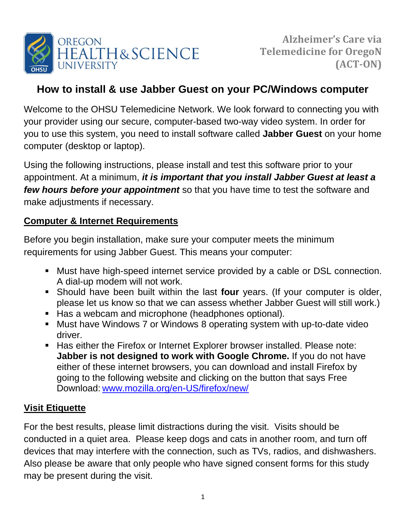

# **How to install & use Jabber Guest on your PC/Windows computer**

Welcome to the OHSU Telemedicine Network. We look forward to connecting you with your provider using our secure, computer-based two-way video system. In order for you to use this system, you need to install software called **Jabber Guest** on your home computer (desktop or laptop).

Using the following instructions, please install and test this software prior to your appointment. At a minimum, *it is important that you install Jabber Guest at least a few hours before your appointment* so that you have time to test the software and make adjustments if necessary.

## **Computer & Internet Requirements**

Before you begin installation, make sure your computer meets the minimum requirements for using Jabber Guest. This means your computer:

- Must have high-speed internet service provided by a cable or DSL connection. A dial-up modem will not work.
- Should have been built within the last **four** years. (If your computer is older, please let us know so that we can assess whether Jabber Guest will still work.)
- Has a webcam and microphone (headphones optional).
- Must have Windows 7 or Windows 8 operating system with up-to-date video driver.
- Has either the Firefox or Internet Explorer browser installed. Please note: **Jabber is not designed to work with Google Chrome.** If you do not have either of these internet browsers, you can download and install Firefox by going to the following website and clicking on the button that says Free Download: [www.mozilla.org/en-US/firefox/new/](http://www.mozilla.org/en-US/firefox/new/)

# **Visit Etiquette**

For the best results, please limit distractions during the visit. Visits should be conducted in a quiet area. Please keep dogs and cats in another room, and turn off devices that may interfere with the connection, such as TVs, radios, and dishwashers. Also please be aware that only people who have signed consent forms for this study may be present during the visit.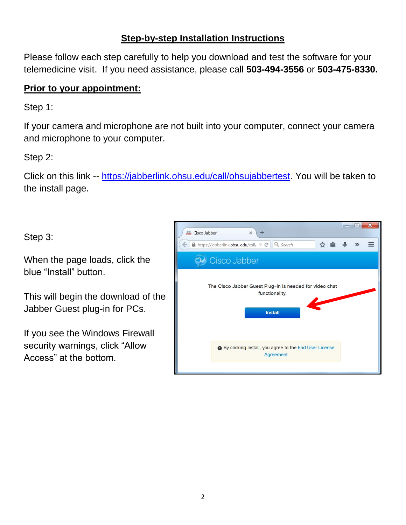### **Step-by-step Installation Instructions**

Please follow each step carefully to help you download and test the software for your telemedicine visit. If you need assistance, please call **503-494-3556** or **503-475-8330.**

#### **Prior to your appointment:**

Step 1:

If your camera and microphone are not built into your computer, connect your camera and microphone to your computer.

Step 2:

Click on this link -- [https://jabberlink.ohsu.edu/call/ohsujabbertest.](https://jabberlink.ohsu.edu/call/ohsujabbertest) You will be taken to the install page.

Step 3:

When the page loads, click the blue "Install" button.

This will begin the download of the Jabber Guest plug-in for PCs.

If you see the Windows Firewall security warnings, click "Allow Access" at the bottom.

| date Cisco Jabber<br>÷<br>$\times$                                                          | $\equiv$ | $\blacksquare$ |  |
|---------------------------------------------------------------------------------------------|----------|----------------|--|
| ☆ 自<br>$\bigcap$ https://jabberlink.ohsu.edu/call/ $\nabla \subset$<br>Q Search             |          | $\mathcal{D}$  |  |
| Cisco Jabber                                                                                |          |                |  |
| The Cisco Jabber Guest Plug-in is needed for video chat<br>functionality.<br><b>Install</b> |          |                |  |
| <b>O</b> By clicking Install, you agree to the End User License<br>Agreement                |          |                |  |
|                                                                                             |          |                |  |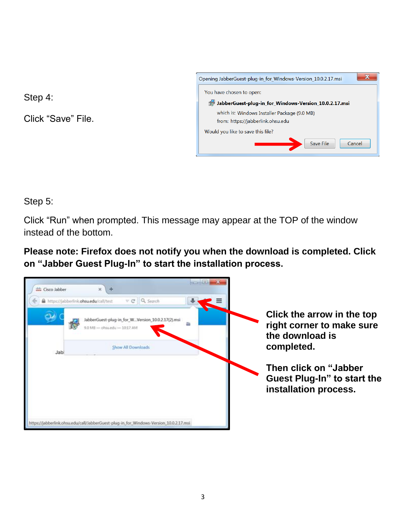Step 4:

Click "Save" File.



Step 5:

Click "Run" when prompted. This message may appear at the TOP of the window instead of the bottom.

**Please note: Firefox does not notify you when the download is completed. Click on "Jabber Guest Plug-In" to start the installation process.** 

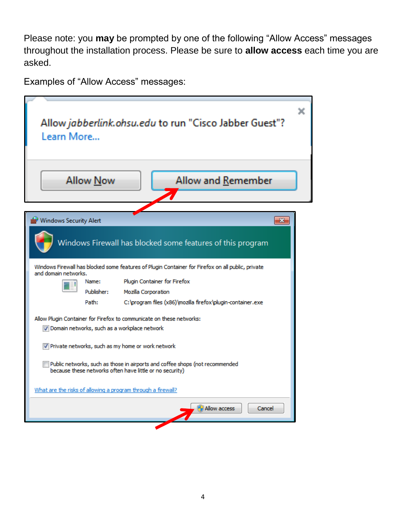Please note: you **may** be prompted by one of the following "Allow Access" messages throughout the installation process. Please be sure to **allow access** each time you are asked.

Examples of "Allow Access" messages:

| Learn More             |                  | Allow jabberlink.ohsu.edu to run "Cisco Jabber Guest"?                                                                                   |
|------------------------|------------------|------------------------------------------------------------------------------------------------------------------------------------------|
|                        | <b>Allow Now</b> | Allow and Remember                                                                                                                       |
| Windows Security Alert |                  | $\mathbf{x}$                                                                                                                             |
|                        |                  | Windows Firewall has blocked some features of this program                                                                               |
|                        |                  | Windows Firewall has blocked some features of Plugin Container for Firefox on all public, private                                        |
| and domain networks.   | Name:            | Plugin Container for Firefox                                                                                                             |
|                        | Publisher:       | Mozilla Corporation                                                                                                                      |
|                        | Path:            | C: \program files (x86) \mozilla firefox \plugin-container.exe                                                                           |
|                        |                  | Allow Plugin Container for Firefox to communicate on these networks:                                                                     |
|                        |                  | Domain networks, such as a workplace network                                                                                             |
|                        |                  | √ Private networks, such as my home or work network                                                                                      |
|                        |                  | Public networks, such as those in airports and coffee shops (not recommended<br>because these networks often have little or no security) |
|                        |                  | What are the risks of allowing a program through a firewall?                                                                             |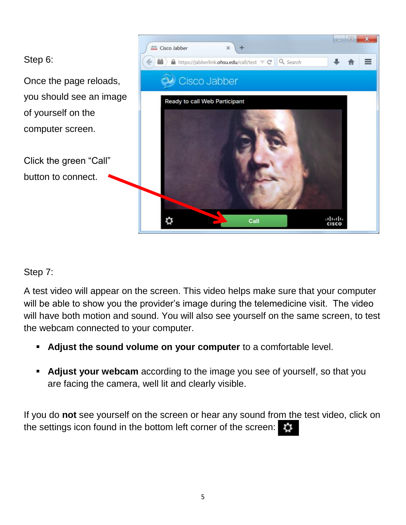

### Step 7:

A test video will appear on the screen. This video helps make sure that your computer will be able to show you the provider's image during the telemedicine visit. The video will have both motion and sound. You will also see yourself on the same screen, to test the webcam connected to your computer.

- **Adjust the sound volume on your computer** to a comfortable level.
- **Adjust your webcam** according to the image you see of yourself, so that you are facing the camera, well lit and clearly visible.

If you do **not** see yourself on the screen or hear any sound from the test video, click on the settings icon found in the bottom left corner of the screen: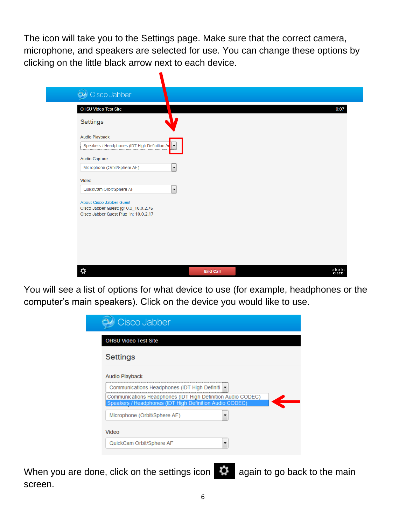The icon will take you to the Settings page. Make sure that the correct camera, microphone, and speakers are selected for use. You can change these options by clicking on the little black arrow next to each device.

| OHSU Video Test Site                                                          |                          |  |  |
|-------------------------------------------------------------------------------|--------------------------|--|--|
| <b>Settings</b>                                                               |                          |  |  |
| <b>Audio Playback</b>                                                         |                          |  |  |
| Speakers / Headphones (IDT High Definition At                                 |                          |  |  |
| <b>Audio Capture</b>                                                          |                          |  |  |
| Microphone (Orbit/Sphere AF)                                                  | $\blacktriangledown$     |  |  |
| Video                                                                         |                          |  |  |
| QuickCam Orbit/Sphere AF                                                      | $\overline{\phantom{a}}$ |  |  |
| <b>About Cisco Jabber Guest</b>                                               |                          |  |  |
| Cisco Jabber Guest: jg10.0_10.0.2.75<br>Cisco Jabber Guest Plug-in: 10.0.2.17 |                          |  |  |
|                                                                               |                          |  |  |
|                                                                               |                          |  |  |
|                                                                               |                          |  |  |
|                                                                               |                          |  |  |

You will see a list of options for what device to use (for example, headphones or the computer's main speakers). Click on the device you would like to use.

| <b>Settings</b>       |                                              |                                                                                                                        |  |
|-----------------------|----------------------------------------------|------------------------------------------------------------------------------------------------------------------------|--|
| <b>Audio Playback</b> |                                              |                                                                                                                        |  |
|                       | Communications Headphones (IDT High Definiti | ▼                                                                                                                      |  |
|                       |                                              | Communications Headphones (IDT High Definition Audio CODEC)<br>Speakers / Headphones (IDT High Definition Audio CODEC) |  |
|                       | Microphone (Orbit/Sphere AF)                 |                                                                                                                        |  |
| Video                 |                                              |                                                                                                                        |  |
|                       | QuickCam Orbit/Sphere AF                     |                                                                                                                        |  |

When you are done, click on the settings icon  $\ddot{Q}$  again to go back to the main screen.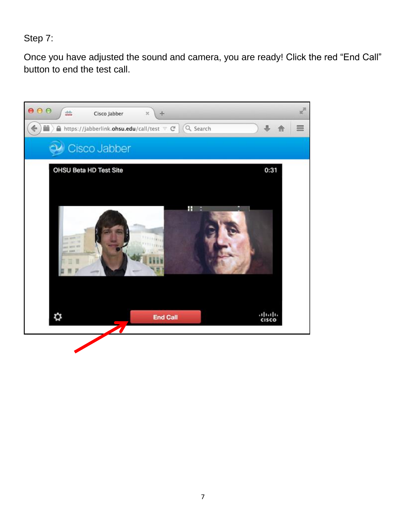Step 7:

Once you have adjusted the sound and camera, you are ready! Click the red "End Call" button to end the test call.